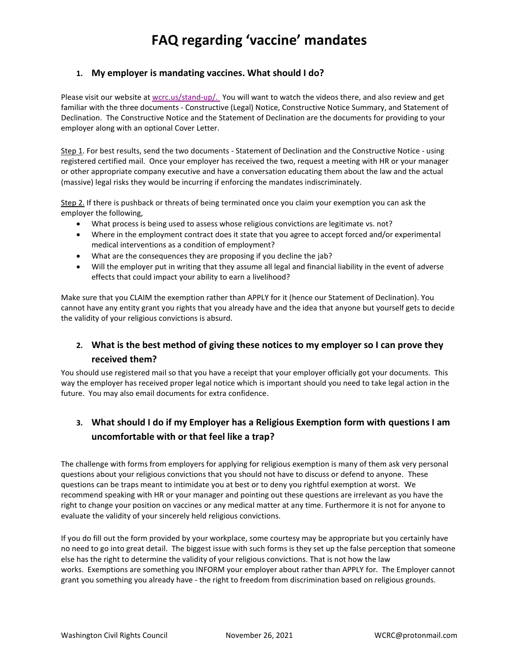## **1. My employer is mandating vaccines. What should I do?**

Please visit our website at [wcrc.us/stand-up/.](https://wcrc.us/stand-up) You will want to watch the videos there, and also review and get familiar with the three documents - Constructive (Legal) Notice, Constructive Notice Summary, and Statement of Declination. The Constructive Notice and the Statement of Declination are the documents for providing to your employer along with an optional Cover Letter.

Step 1. For best results, send the two documents - Statement of Declination and the Constructive Notice - using registered certified mail. Once your employer has received the two, request a meeting with HR or your manager or other appropriate company executive and have a conversation educating them about the law and the actual (massive) legal risks they would be incurring if enforcing the mandates indiscriminately.

Step 2. If there is pushback or threats of being terminated once you claim your exemption you can ask the employer the following,

- What process is being used to assess whose religious convictions are legitimate vs. not?
- Where in the employment contract does it state that you agree to accept forced and/or experimental medical interventions as a condition of employment?
- What are the consequences they are proposing if you decline the jab?
- Will the employer put in writing that they assume all legal and financial liability in the event of adverse effects that could impact your ability to earn a livelihood?

Make sure that you CLAIM the exemption rather than APPLY for it (hence our Statement of Declination). You cannot have any entity grant you rights that you already have and the idea that anyone but yourself gets to decide the validity of your religious convictions is absurd.

## **2. What is the best method of giving these notices to my employer so I can prove they received them?**

You should use registered mail so that you have a receipt that your employer officially got your documents. This way the employer has received proper legal notice which is important should you need to take legal action in the future. You may also email documents for extra confidence.

## **3. What should I do if my Employer has a Religious Exemption form with questions I am uncomfortable with or that feel like a trap?**

The challenge with forms from employers for applying for religious exemption is many of them ask very personal questions about your religious convictions that you should not have to discuss or defend to anyone. These questions can be traps meant to intimidate you at best or to deny you rightful exemption at worst. We recommend speaking with HR or your manager and pointing out these questions are irrelevant as you have the right to change your position on vaccines or any medical matter at any time. Furthermore it is not for anyone to evaluate the validity of your sincerely held religious convictions.

If you do fill out the form provided by your workplace, some courtesy may be appropriate but you certainly have no need to go into great detail. The biggest issue with such forms is they set up the false perception that someone else has the right to determine the validity of your religious convictions. That is not how the law works. Exemptions are something you INFORM your employer about rather than APPLY for. The Employer cannot grant you something you already have - the right to freedom from discrimination based on religious grounds.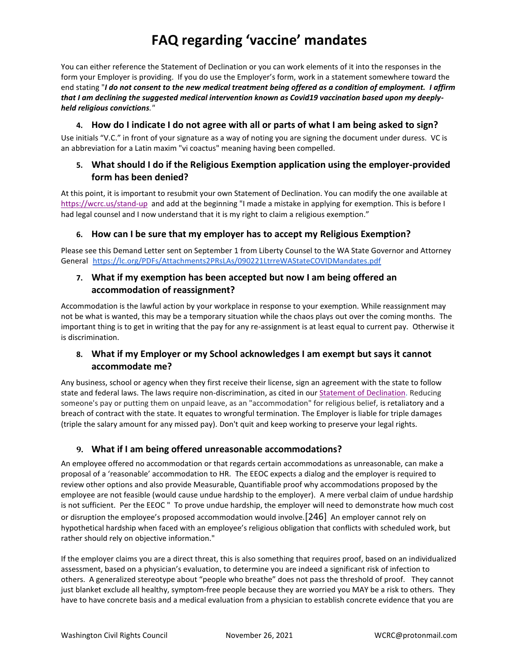You can either reference the Statement of Declination or you can work elements of it into the responses in the form your Employer is providing. If you do use the Employer's form, work in a statement somewhere toward the end stating "*I do not consent to the new medical treatment being offered as a condition of employment. I affirm that I am declining the suggested medical intervention known as Covid19 vaccination based upon my deeplyheld religious convictions."*

### **4. How do I indicate I do not agree with all or parts of what I am being asked to sign?**

Use initials "V.C." in front of your signature as a way of noting you are signing the document under duress. VC is an abbreviation for a Latin maxim "vi coactus" meaning having been compelled.

## **5. What should I do if the Religious Exemption application using the employer-provided form has been denied?**

At this point, it is important to resubmit your own Statement of Declination. You can modify the one available at <https://wcrc.us/stand-up> and add at the beginning "I made a mistake in applying for exemption. This is before I had legal counsel and I now understand that it is my right to claim a religious exemption."

## **6. How can I be sure that my employer has to accept my Religious Exemption?**

Please see this Demand Letter sent on September 1 from Liberty Counsel to the WA State Governor and Attorney General <https://lc.org/PDFs/Attachments2PRsLAs/090221LtrreWAStateCOVIDMandates.pdf>

## **7. What if my exemption has been accepted but now I am being offered an accommodation of reassignment?**

Accommodation is the lawful action by your workplace in response to your exemption. While reassignment may not be what is wanted, this may be a temporary situation while the chaos plays out over the coming months. The important thing is to get in writing that the pay for any re-assignment is at least equal to current pay. Otherwise it is discrimination.

## **8. What if my Employer or my School acknowledges I am exempt but says it cannot accommodate me?**

Any business, school or agency when they first receive their license, sign an agreement with the state to follow state and federal laws. The laws require non-discrimination, as cited in our [Statement of Declination.](https://wcrc.us/wp-content/uploads/2022/01/Statement_of_Declination.pdf) Reducing someone's pay or putting them on unpaid leave, as an "accommodation" for religious belief, is retaliatory and a breach of contract with the state. It equates to wrongful termination. The Employer is liable for triple damages (triple the salary amount for any missed pay). Don't quit and keep working to preserve your legal rights.

## **9. What if I am being offered unreasonable accommodations?**

An employee offered no accommodation or that regards certain accommodations as unreasonable, can make a proposal of a 'reasonable' accommodation to HR. The EEOC expects a dialog and the employer is required to review other options and also provide Measurable, Quantifiable proof why accommodations proposed by the employee are not feasible (would cause undue hardship to the employer). A mere verbal claim of undue hardship is not sufficient. Per the EEOC " To prove undue hardship, the employer will need to demonstrate how much cost or disruption the employee's proposed accommodation would involve.[\[246\]](https://www.eeoc.gov/laws/guidance/section-12-religious-discrimination#_ftn246) An employer cannot rely on hypothetical hardship when faced with an employee's religious obligation that conflicts with scheduled work, but rather should rely on objective information."

If the employer claims you are a direct threat, this is also something that requires proof, based on an individualized assessment, based on a physician's evaluation, to determine you are indeed a significant risk of infection to others. A generalized stereotype about "people who breathe" does not pass the threshold of proof. They cannot just blanket exclude all healthy, symptom-free people because they are worried you MAY be a risk to others. They have to have concrete basis and a medical evaluation from a physician to establish concrete evidence that you are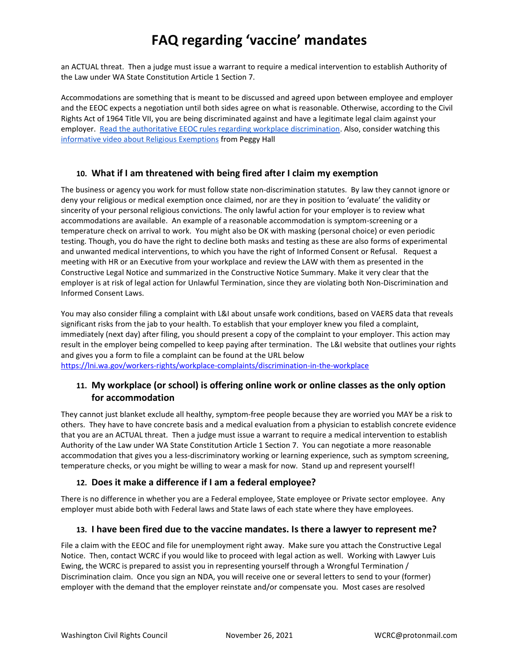an ACTUAL threat. Then a judge must issue a warrant to require a medical intervention to establish Authority of the Law under WA State Constitution Article 1 Section 7.

Accommodations are something that is meant to be discussed and agreed upon between employee and employer and the EEOC expects a negotiation until both sides agree on what is reasonable. Otherwise, according to the Civil Rights Act of 1964 Title VII, you are being discriminated against and have a legitimate legal claim against your employer. [Read the authoritative EEOC rules regarding workplace discrimination.](https://www.eeoc.gov/laws/guidance/section-12-religious-discrimination#h_12929403436951610749878556) Also, consider watching this [informative video about Religious Exemptions](https://youtu.be/l3ToyPyAEGM) from Peggy Hall

### **10. What if I am threatened with being fired after I claim my exemption**

The business or agency you work for must follow state non-discrimination statutes. By law they cannot ignore or deny your religious or medical exemption once claimed, nor are they in position to 'evaluate' the validity or sincerity of your personal religious convictions. The only lawful action for your employer is to review what accommodations are available. An example of a reasonable accommodation is symptom-screening or a temperature check on arrival to work. You might also be OK with masking (personal choice) or even periodic testing. Though, you do have the right to decline both masks and testing as these are also forms of experimental and unwanted medical interventions, to which you have the right of Informed Consent or Refusal. Request a meeting with HR or an Executive from your workplace and review the LAW with them as presented in the Constructive Legal Notice and summarized in the Constructive Notice Summary. Make it very clear that the employer is at risk of legal action for Unlawful Termination, since they are violating both Non-Discrimination and Informed Consent Laws.

You may also consider filing a complaint with L&I about unsafe work conditions, based on VAERS data that reveals significant risks from the jab to your health. To establish that your employer knew you filed a complaint, immediately (next day) after filing, you should present a copy of the complaint to your employer. This action may result in the employer being compelled to keep paying after termination. The L&I website that outlines your rights and gives you a form to file a complaint can be found at the URL below <https://lni.wa.gov/workers-rights/workplace-complaints/discrimination-in-the-workplace>

## **11. My workplace (or school) is offering online work or online classes as the only option for accommodation**

They cannot just blanket exclude all healthy, symptom-free people because they are worried you MAY be a risk to others. They have to have concrete basis and a medical evaluation from a physician to establish concrete evidence that you are an ACTUAL threat. Then a judge must issue a warrant to require a medical intervention to establish Authority of the Law under WA State Constitution Article 1 Section 7. You can negotiate a more reasonable accommodation that gives you a less-discriminatory working or learning experience, such as symptom screening, temperature checks, or you might be willing to wear a mask for now. Stand up and represent yourself!

## **12. Does it make a difference if I am a federal employee?**

There is no difference in whether you are a Federal employee, State employee or Private sector employee. Any employer must abide both with Federal laws and State laws of each state where they have employees.

## **13. I have been fired due to the vaccine mandates. Is there a lawyer to represent me?**

File a claim with the EEOC and file for unemployment right away. Make sure you attach the Constructive Legal Notice. Then, contact WCRC if you would like to proceed with legal action as well. Working with Lawyer Luis Ewing, the WCRC is prepared to assist you in representing yourself through a Wrongful Termination / Discrimination claim. Once you sign an NDA, you will receive one or several letters to send to your (former) employer with the demand that the employer reinstate and/or compensate you. Most cases are resolved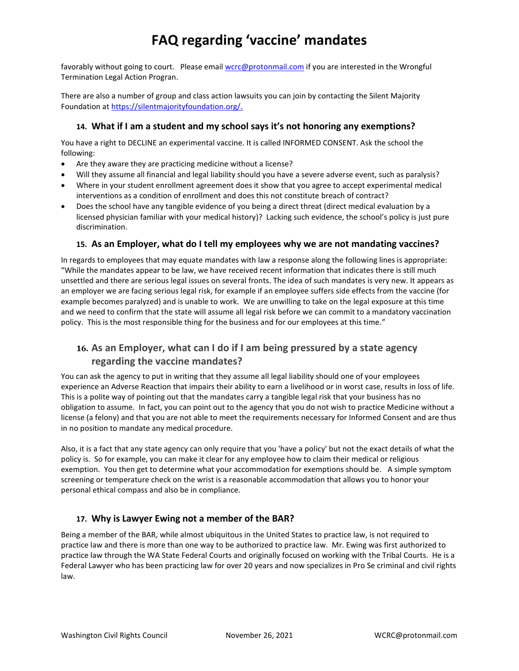favorably without going to court. Please email [wcrc@protonmail.com](mailto:wcrc@protonmail.com) if you are interested in the Wrongful Termination Legal Action Progran.

There are also a number of group and class action lawsuits you can join by contacting the Silent Majority Foundation a[t https://silentmajorityfoundation.org/.](https://silentmajorityfoundation.org/)

## **14. What if I am a student and my school says it's not honoring any exemptions?**

You have a right to DECLINE an experimental vaccine. It is called INFORMED CONSENT. Ask the school the following:

- Are they aware they are practicing medicine without a license?
- Will they assume all financial and legal liability should you have a severe adverse event, such as paralysis?
- Where in your student enrollment agreement does it show that you agree to accept experimental medical interventions as a condition of enrollment and does this not constitute breach of contract?
- Does the school have any tangible evidence of you being a direct threat (direct medical evaluation by a licensed physician familiar with your medical history)? Lacking such evidence, the school's policy is just pure discrimination.

### **15. As an Employer, what do I tell my employees why we are not mandating vaccines?**

In regards to employees that may equate mandates with law a response along the following lines is appropriate: "While the mandates appear to be law, we have received recent information that indicates there is still much unsettled and there are serious legal issues on several fronts. The idea of such mandates is very new. It appears as an employer we are facing serious legal risk, for example if an employee suffers side effects from the vaccine (for example becomes paralyzed) and is unable to work. We are unwilling to take on the legal exposure at this time and we need to confirm that the state will assume all legal risk before we can commit to a mandatory vaccination policy. This is the most responsible thing for the business and for our employees at this time."

## **16. As an Employer, what can I do if I am being pressured by a state agency regarding the vaccine mandates?**

You can ask the agency to put in writing that they assume all legal liability should one of your employees experience an Adverse Reaction that impairs their ability to earn a livelihood or in worst case, results in loss of life. This is a polite way of pointing out that the mandates carry a tangible legal risk that your business has no obligation to assume. In fact, you can point out to the agency that you do not wish to practice Medicine without a license (a felony) and that you are not able to meet the requirements necessary for Informed Consent and are thus in no position to mandate any medical procedure.

Also, it is a fact that any state agency can only require that you 'have a policy' but not the exact details of what the policy is. So for example, you can make it clear for any employee how to claim their medical or religious exemption. You then get to determine what your accommodation for exemptions should be. A simple symptom screening or temperature check on the wrist is a reasonable accommodation that allows you to honor your personal ethical compass and also be in compliance.

### **17. Why is Lawyer Ewing not a member of the BAR?**

Being a member of the BAR, while almost ubiquitous in the United States to practice law, is not required to practice law and there is more than one way to be authorized to practice law. Mr. Ewing was first authorized to practice law through the WA State Federal Courts and originally focused on working with the Tribal Courts. He is a Federal Lawyer who has been practicing law for over 20 years and now specializes in Pro Se criminal and civil rights law.